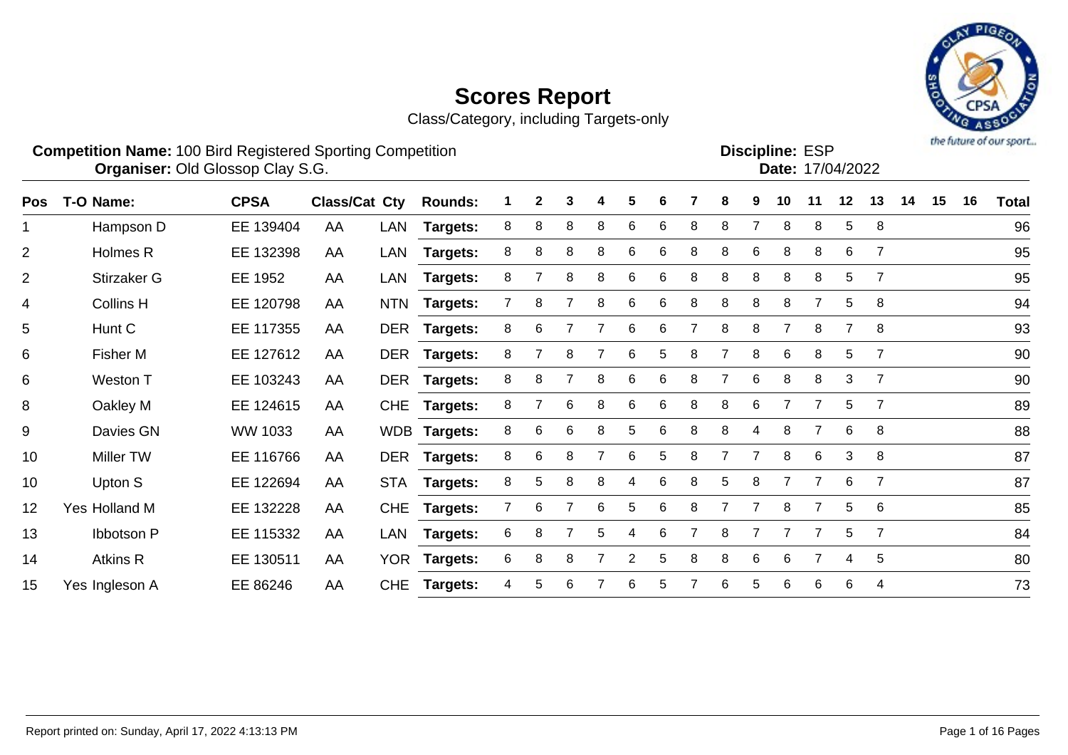Class/Category, including Targets-only



Discipline: ESP<br>Date: 17/04/2022

#### **Competition Name:** 100 Bird Registered Sporting Competition **EXP EXP Competition EXP Organiser:** Old Glossop Clay S.G. 17/04/2022

| Pos            | T-O Name:         | <b>CPSA</b> | Class/Cat Cty |            | <b>Rounds:</b>  |   | $\mathbf{2}$ | 3 |   | 5 | 6 |   | 8 | 9 | 10 | 11             | 12             | 13             | 14 | 15 | 16 | <b>Total</b> |
|----------------|-------------------|-------------|---------------|------------|-----------------|---|--------------|---|---|---|---|---|---|---|----|----------------|----------------|----------------|----|----|----|--------------|
| 1              | Hampson D         | EE 139404   | AA            | LAN        | <b>Targets:</b> | 8 | 8            | 8 | 8 | 6 | 6 | 8 | 8 |   | 8  | 8              | 5              | 8              |    |    |    | 96           |
| $\overline{2}$ | Holmes R          | EE 132398   | AA            | LAN        | <b>Targets:</b> | 8 | 8            | 8 | 8 | 6 | 6 | 8 | 8 | 6 | 8  | 8              | 6              | $\overline{7}$ |    |    |    | 95           |
| $\overline{2}$ | Stirzaker G       | EE 1952     | AA            | LAN        | <b>Targets:</b> | 8 |              | 8 | 8 | 6 | 6 | 8 | 8 | 8 | 8  | 8              | 5              | $\overline{7}$ |    |    |    | 95           |
| 4              | Collins H         | EE 120798   | AA            | <b>NTN</b> | <b>Targets:</b> |   | 8            |   |   | 6 | 6 | 8 | 8 | 8 | 8  |                | 5              | 8              |    |    |    | 94           |
| 5              | Hunt C            | EE 117355   | AA            |            | DER Targets:    | 8 | 6            |   |   | 6 | 6 |   | 8 | 8 | 7  | 8              | $\overline{7}$ | 8              |    |    |    | 93           |
| 6              | Fisher M          | EE 127612   | AA            |            | DER Targets:    | 8 |              | 8 |   | 6 | 5 | 8 | 7 | 8 | 6  | 8              | 5              | $\overline{7}$ |    |    |    | 90           |
| 6              | Weston T          | EE 103243   | AA            | <b>DER</b> | <b>Targets:</b> | 8 | 8            |   |   | 6 | 6 | 8 |   | 6 | 8  | 8              | 3              | $\overline{7}$ |    |    |    | 90           |
| 8              | Oakley M          | EE 124615   | AA            | <b>CHE</b> | <b>Targets:</b> | 8 |              | 6 | 8 | 6 | 6 | 8 | 8 | 6 | 7  | 7              | 5              | $\overline{7}$ |    |    |    | 89           |
| 9              | Davies GN         | WW 1033     | AA            |            | WDB Targets:    | 8 | 6            | 6 | 8 | 5 | 6 | 8 | 8 | 4 | 8  | 7              | 6              | 8              |    |    |    | 88           |
| 10             | Miller TW         | EE 116766   | AA            |            | DER Targets:    | 8 | 6            | 8 |   | 6 | 5 | 8 |   |   | 8  | 6              | 3              | 8              |    |    |    | 87           |
| 10             | Upton S           | EE 122694   | AA            | <b>STA</b> | <b>Targets:</b> | 8 | 5            | 8 | 8 | 4 | 6 | 8 | 5 | 8 | 7  | $\overline{7}$ | 6              | $\overline{7}$ |    |    |    | 87           |
| 12             | Yes Holland M     | EE 132228   | AA            | <b>CHE</b> | <b>Targets:</b> |   | 6            |   | 6 | 5 | 6 | 8 | 7 |   | 8  |                | 5              | 6              |    |    |    | 85           |
| 13             | <b>Ibbotson P</b> | EE 115332   | AA            | LAN        | <b>Targets:</b> | 6 | 8            |   | 5 | 4 | 6 |   | 8 |   |    |                | 5              | $\overline{7}$ |    |    |    | 84           |
| 14             | Atkins R          | EE 130511   | AA            |            | YOR Targets:    | 6 | 8            | 8 |   | 2 | 5 | 8 | 8 | 6 | 6  | $\overline{7}$ | 4              | 5              |    |    |    | 80           |
| 15             | Yes Ingleson A    | EE 86246    | AA            | <b>CHE</b> | <b>Targets:</b> | 4 | 5            | 6 |   | 6 | 5 |   | 6 | 5 | 6  | 6              | 6              | 4              |    |    |    | 73           |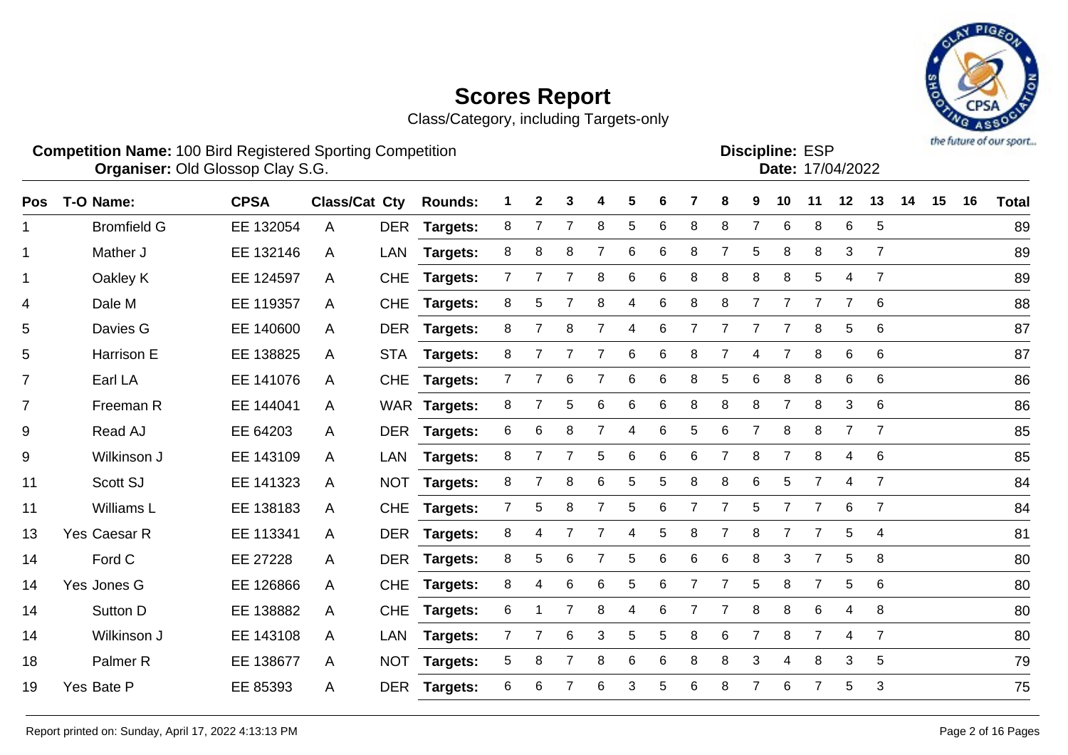Class/Category, including Targets-only



**Competition Name:** 100 Bird Registered Sporting Competition **EXP EXP Competition EXP Organiser:** Old Glossop Clay S.G. 17/04/2022

Discipline: FSP

| אטווווו <del>פ</del> . בטר |                  |
|----------------------------|------------------|
|                            | Date: 17/04/2022 |
|                            |                  |

| <b>Pos</b>     | T-O Name:           | <b>CPSA</b> | <b>Class/Cat Cty</b> |            | <b>Rounds:</b>  |                | $\mathbf{2}$   | 3               |                | 5 |                 |                | 8              | 9              | 10             | 11             | 12             | 13             | 14 | 15 | 16 | <b>Total</b> |
|----------------|---------------------|-------------|----------------------|------------|-----------------|----------------|----------------|-----------------|----------------|---|-----------------|----------------|----------------|----------------|----------------|----------------|----------------|----------------|----|----|----|--------------|
| $\mathbf 1$    | <b>Bromfield G</b>  | EE 132054   | A                    |            | DER Targets:    | 8              | $\overline{7}$ | $\overline{7}$  | 8              | 5 | 6               | 8              | 8              | 7              | 6              | 8              | 6              | 5              |    |    |    | 89           |
| $\mathbf{1}$   | Mather J            | EE 132146   | A                    | <b>LAN</b> | Targets:        | 8              | 8              | 8               | 7              | 6 | $6\phantom{1}6$ | 8              | $\overline{7}$ | 5              | 8              | 8              | 3              | $\overline{7}$ |    |    |    | 89           |
| $\mathbf 1$    | Oakley K            | EE 124597   | A                    | <b>CHE</b> | <b>Targets:</b> | 7              |                |                 | 8              | 6 | 6               | 8              | 8              | 8              | 8              | 5              | 4              | $\overline{7}$ |    |    |    | 89           |
| 4              | Dale M              | EE 119357   | A                    | <b>CHE</b> | <b>Targets:</b> | 8              | 5              |                 | 8              | 4 | 6               | 8              | 8              | $\overline{7}$ | $\overline{7}$ | $\overline{7}$ | $\overline{7}$ | 6              |    |    |    | 88           |
| 5              | Davies G            | EE 140600   | A                    |            | DER Targets:    | 8              | $\overline{7}$ | 8               | 7              | 4 | 6               | $\overline{7}$ | 7              | $\overline{7}$ | $\overline{7}$ | 8              | 5              | 6              |    |    |    | 87           |
| 5              | Harrison E          | EE 138825   | A                    |            | STA Targets:    | 8              | $\overline{7}$ | 7               | $\overline{7}$ | 6 | 6               | 8              | $\overline{7}$ | 4              | $\overline{7}$ | 8              | $\,6$          | 6              |    |    |    | 87           |
| $\overline{7}$ | Earl LA             | EE 141076   | A                    | <b>CHE</b> | <b>Targets:</b> | $\overline{7}$ | 7              | 6               | $\overline{7}$ | 6 | 6               | 8              | 5              | 6              | 8              | 8              | 6              | 6              |    |    |    | 86           |
| $\overline{7}$ | Freeman R           | EE 144041   | A                    |            | WAR Targets:    | 8              | 7              | 5               | 6              | 6 | 6               | 8              | 8              | 8              | $\overline{7}$ | 8              | 3              | 6              |    |    |    | 86           |
| 9              | Read AJ             | EE 64203    | A                    |            | DER Targets:    | 6              | 6              | 8               | $\overline{7}$ | 4 | 6               | 5              | 6              | $\overline{7}$ | 8              | 8              | $\overline{7}$ | $\overline{7}$ |    |    |    | 85           |
| $9\,$          | Wilkinson J         | EE 143109   | A                    | <b>LAN</b> | <b>Targets:</b> | 8              | $\overline{7}$ | $\overline{7}$  | 5              | 6 | 6               | 6              | $\overline{7}$ | 8              | $\overline{7}$ | 8              | 4              | 6              |    |    |    | 85           |
| 11             | Scott SJ            | EE 141323   | A                    | <b>NOT</b> | <b>Targets:</b> | 8              |                | 8               | 6              | 5 | 5               | 8              | 8              | 6              | 5              | $\overline{7}$ | 4              | $\overline{7}$ |    |    |    | 84           |
| 11             | Williams L          | EE 138183   | A                    | <b>CHE</b> | Targets:        | $\overline{7}$ | 5              | 8               | 7              | 5 | 6               | $\overline{7}$ | $\overline{7}$ | 5              |                | $\overline{7}$ | 6              | $\overline{7}$ |    |    |    | 84           |
| 13             | Yes Caesar R        | EE 113341   | A                    | <b>DER</b> | <b>Targets:</b> | 8              | 4              |                 | 7              | 4 | 5               | 8              | $\overline{7}$ | 8              |                | 7              | 5              | $\overline{4}$ |    |    |    | 81           |
| 14             | Ford C              | EE 27228    | A                    |            | DER Targets:    | 8              | 5              | 6               | $\overline{7}$ | 5 | 6               | 6              | 6              | 8              | 3              | $\overline{7}$ | 5              | 8              |    |    |    | 80           |
| 14             | Yes Jones G         | EE 126866   | A                    | <b>CHE</b> | <b>Targets:</b> | 8              | 4              | $6\phantom{1}6$ | 6              | 5 | $6\phantom{1}6$ | $\overline{7}$ | $\overline{7}$ | 5              | 8              | $\overline{7}$ | 5              | 6              |    |    |    | 80           |
| 14             | Sutton D            | EE 138882   | A                    | <b>CHE</b> | <b>Targets:</b> | 6              |                |                 | 8              | 4 | 6               | $\overline{7}$ | $\overline{7}$ | 8              | 8              | 6              | 4              | 8              |    |    |    | 80           |
| 14             | Wilkinson J         | EE 143108   | A                    | <b>LAN</b> | <b>Targets:</b> | $\mathbf{7}$   |                | 6               | 3              | 5 | 5               | 8              | 6              | $\overline{7}$ | 8              | $\overline{7}$ | 4              | $\overline{7}$ |    |    |    | 80           |
| 18             | Palmer <sub>R</sub> | EE 138677   | A                    | <b>NOT</b> | Targets:        | 5              | 8              | $\overline{7}$  | 8              | 6 | 6               | 8              | 8              | 3              | 4              | 8              | 3              | 5              |    |    |    | 79           |
| 19             | Yes Bate P          | EE 85393    | A                    |            | DER Targets:    | 6              | 6              |                 | 6              | 3 | 5               | 6              | 8              | 7              | 6              | $\overline{7}$ | 5              | $\mathbf{3}$   |    |    |    | 75           |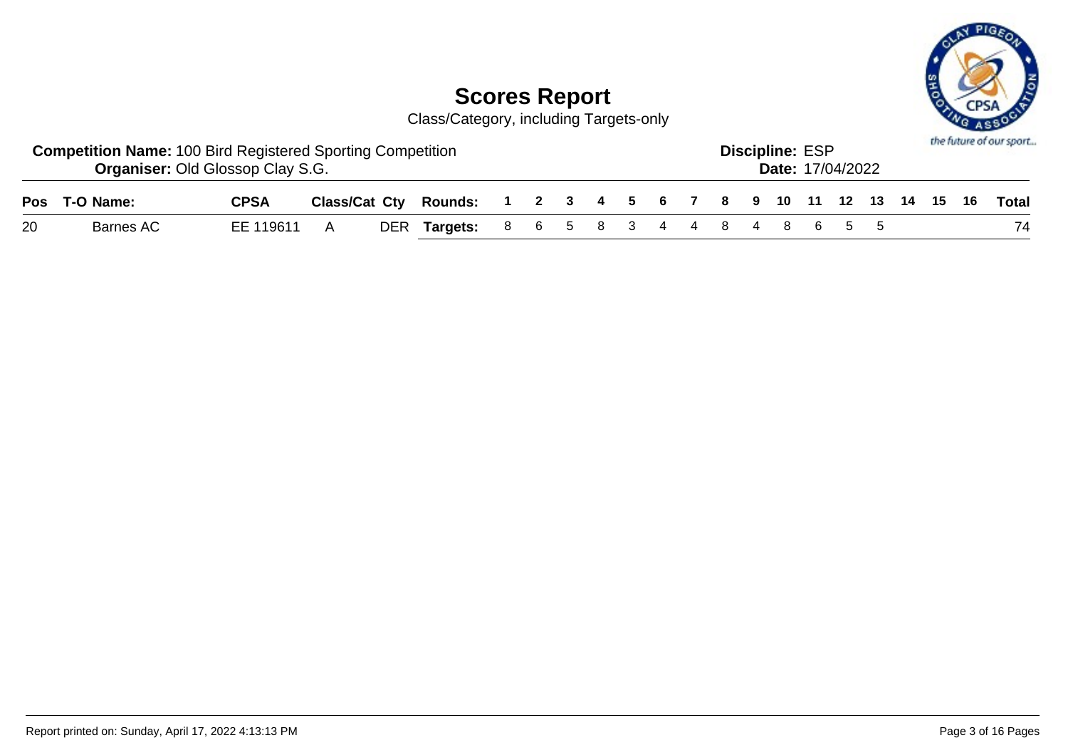

|    | <b>Competition Name: 100 Bird Registered Sporting Competition</b><br><b>Organiser: Old Glossop Clay S.G.</b> |             |  |                                                                    |  |  |  |  | <b>Discipline: ESP</b> | <b>Date: 17/04/2022</b> |  |  | the future of our sport |
|----|--------------------------------------------------------------------------------------------------------------|-------------|--|--------------------------------------------------------------------|--|--|--|--|------------------------|-------------------------|--|--|-------------------------|
|    | Pos T-O Name:                                                                                                | <b>CPSA</b> |  | Class/Cat Cty Rounds: 1 2 3 4 5 6 7 8 9 10 11 12 13 14 15 16 Total |  |  |  |  |                        |                         |  |  |                         |
| 20 | Barnes AC                                                                                                    | EE 119611 A |  | DER Targets: 8 6 5 8 3 4 4 8 4 8 6 5 5                             |  |  |  |  |                        |                         |  |  | 74                      |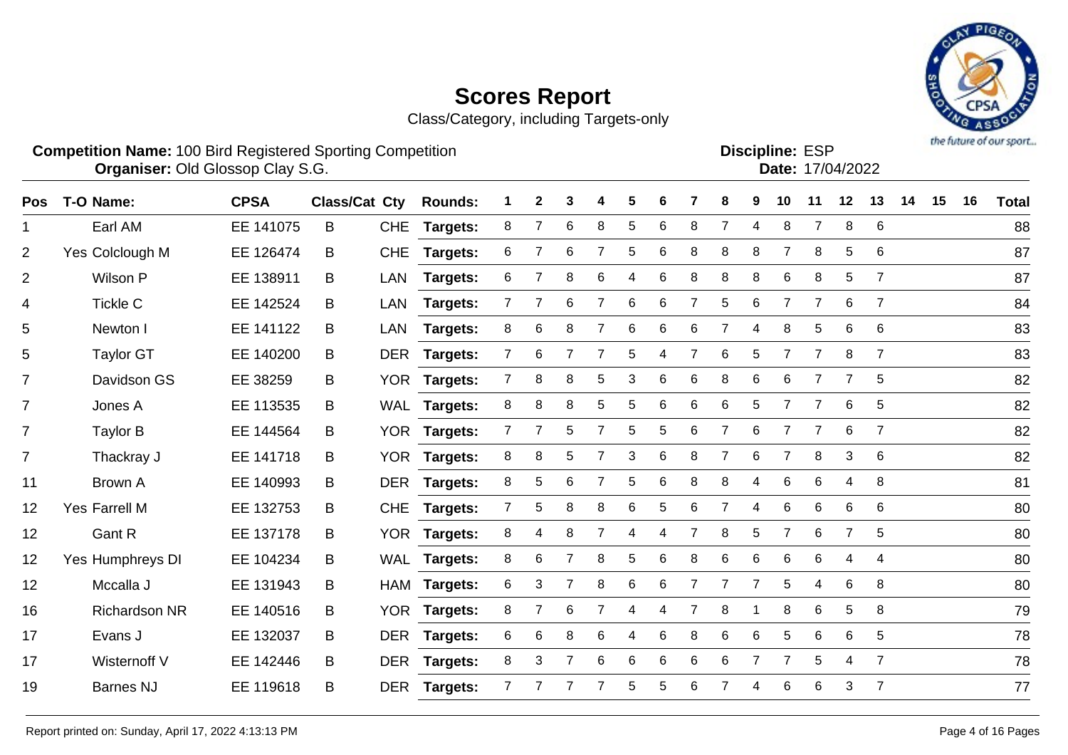Class/Category, including Targets-only



**Competition Name:** 100 Bird Registered Sporting Competition **EXP EXP Competition EXP Organiser:** Old Glossop Clay S.G. 17/04/2022

Discipline: ESP<br>Date: 17/04/2022

| Pos            | T-O Name:            | <b>CPSA</b> | Class/Cat Cty |            | <b>Rounds:</b>  |                | $\mathbf{2}$   | 3              | 4              | 5     | 6 |                | 8              | 9              | 10             | 11             | 12 | 13             | 14 | 15 | 16 | <b>Total</b> |
|----------------|----------------------|-------------|---------------|------------|-----------------|----------------|----------------|----------------|----------------|-------|---|----------------|----------------|----------------|----------------|----------------|----|----------------|----|----|----|--------------|
| 1.             | Earl AM              | EE 141075   | B             | <b>CHE</b> | <b>Targets:</b> | 8              | $\overline{7}$ | 6              | 8              | 5     | 6 | 8              | $\overline{7}$ | 4              | 8              | $\overline{7}$ | 8  | 6              |    |    |    | 88           |
| 2              | Yes Colclough M      | EE 126474   | B             | <b>CHE</b> | <b>Targets:</b> | 6              | 7              | 6              | $\overline{7}$ | 5     | 6 | 8              | 8              | 8              | $\overline{7}$ | 8              | 5  | 6              |    |    |    | 87           |
| 2              | Wilson P             | EE 138911   | B             | LAN        | Targets:        | 6              |                | 8              | 6              | 4     | 6 | 8              | 8              | 8              | 6              | 8              | 5  | $\overline{7}$ |    |    |    | 87           |
| 4              | <b>Tickle C</b>      | EE 142524   | B             | <b>LAN</b> | <b>Targets:</b> | $\overline{7}$ | $\overline{7}$ | 6              | $\overline{7}$ | 6     | 6 | 7              | 5              | 6              | $\overline{7}$ | $\overline{7}$ | 6  | $\overline{7}$ |    |    |    | 84           |
| 5              | Newton I             | EE 141122   | B             | <b>LAN</b> | <b>Targets:</b> | 8              | 6              | 8              | 7              | 6     | 6 | 6              | $\overline{7}$ | 4              | 8              | 5              | 6  | 6              |    |    |    | 83           |
| 5              | <b>Taylor GT</b>     | EE 140200   | B             | <b>DER</b> | Targets:        | $\overline{7}$ | 6              |                |                | 5     | 4 |                | 6              | 5              | 7              | $\overline{7}$ | 8  | $\overline{7}$ |    |    |    | 83           |
| $\overline{7}$ | Davidson GS          | EE 38259    | B             |            | YOR Targets:    | $\overline{7}$ | 8              | 8              | 5              | 3     | 6 | 6              | 8              | 6              | 6              | 7              | 7  | 5              |    |    |    | 82           |
| $\overline{7}$ | Jones A              | EE 113535   | B             |            | WAL Targets:    | 8              | 8              | 8              | 5              | 5     | 6 | 6              | $\,6\,$        | $\sqrt{5}$     | $\overline{7}$ | $\overline{7}$ | 6  | 5              |    |    |    | 82           |
| $\overline{7}$ | Taylor B             | EE 144564   | B             | <b>YOR</b> | <b>Targets:</b> | $\overline{7}$ | 7              | 5              | $\overline{7}$ | 5     | 5 | 6              | $\overline{7}$ | 6              | $\overline{7}$ | $\overline{7}$ | 6  | $\overline{7}$ |    |    |    | 82           |
| $\overline{7}$ | Thackray J           | EE 141718   | B             | <b>YOR</b> | <b>Targets:</b> | 8              | 8              | 5              | 7              | 3     | 6 | 8              | 7              | 6              | 7              | 8              | 3  | $\,6$          |    |    |    | 82           |
| 11             | Brown A              | EE 140993   | B             | <b>DER</b> | <b>Targets:</b> | 8              | 5              | 6              | $\overline{7}$ | 5     | 6 | 8              | 8              | 4              | 6              | 6              | 4  | 8              |    |    |    | 81           |
| 12             | <b>Yes Farrell M</b> | EE 132753   | B             | <b>CHE</b> | Targets:        | $\overline{7}$ | 5              | 8              | 8              | 6     | 5 | 6              | $\overline{7}$ | 4              | 6              | 6              | 6  | 6              |    |    |    | 80           |
| 12             | Gant R               | EE 137178   | B             | <b>YOR</b> | <b>Targets:</b> | 8              | 4              | 8              |                | 4     | 4 |                | 8              | 5              | $\overline{7}$ | 6              | 7  | 5              |    |    |    | 80           |
| 12             | Yes Humphreys DI     | EE 104234   | B             |            | WAL Targets:    | 8              | 6              | 7              | 8              | 5     | 6 | 8              | $\,6$          | 6              | 6              | 6              | 4  | 4              |    |    |    | 80           |
| 12             | Mccalla J            | EE 131943   | B             |            | HAM Targets:    | 6              | 3              | $\overline{7}$ | 8              | $\,6$ | 6 | $\overline{7}$ | $\overline{7}$ | $\overline{7}$ | 5              | $\overline{4}$ | 6  | 8              |    |    |    | 80           |
| 16             | <b>Richardson NR</b> | EE 140516   | B             | <b>YOR</b> | <b>Targets:</b> | 8              | 7              | 6              | 7              | 4     | 4 |                | 8              |                | 8              | 6              | 5  | 8              |    |    |    | 79           |
| 17             | Evans J              | EE 132037   | B             | <b>DER</b> | <b>Targets:</b> | 6              | 6              | 8              | 6              | 4     | 6 | 8              | 6              | 6              | 5              | 6              | 6  | 5              |    |    |    | 78           |
| 17             | Wisternoff V         | EE 142446   | B             | <b>DER</b> | <b>Targets:</b> | 8              | 3              | $\overline{7}$ | 6              | 6     | 6 | 6              | 6              | $\overline{7}$ | $\overline{7}$ | 5              | 4  | $\overline{7}$ |    |    |    | 78           |
| 19             | <b>Barnes NJ</b>     | EE 119618   | B             | <b>DER</b> | Targets:        | 7              |                |                |                | 5     | 5 | 6              |                | 4              | 6              | 6              | 3  | $\overline{7}$ |    |    |    | 77           |
|                |                      |             |               |            |                 |                |                |                |                |       |   |                |                |                |                |                |    |                |    |    |    |              |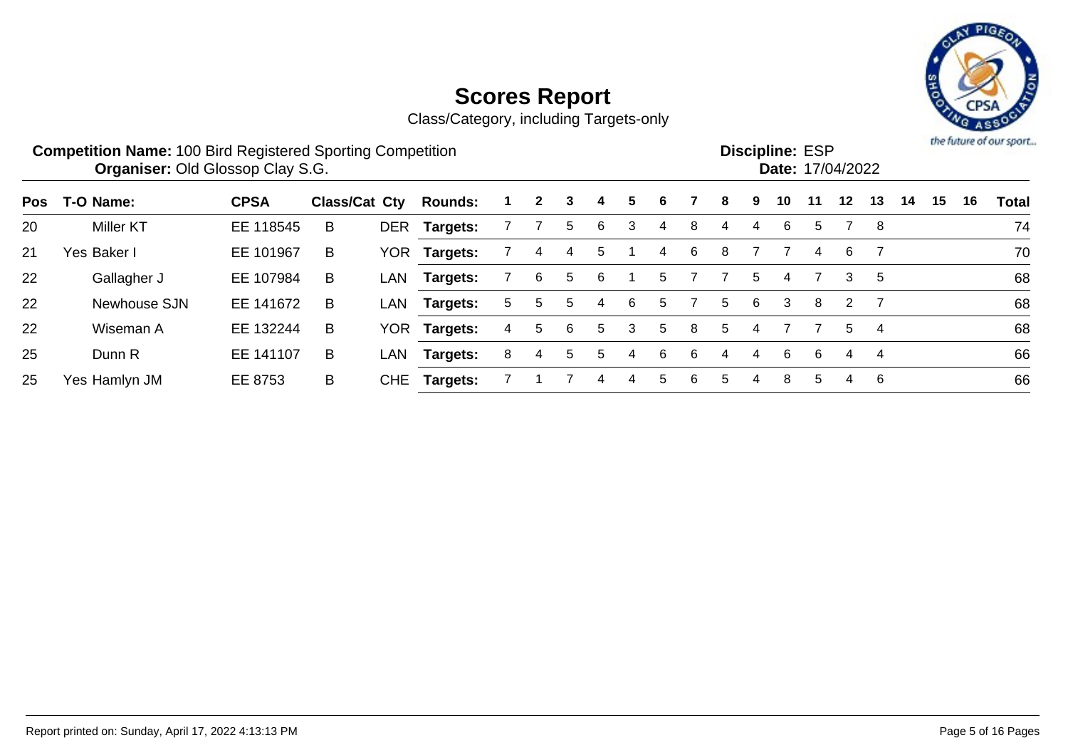

**Scores Report** Class/Category, including Targets-only

|     | <b>Competition Name: 100 Bird Registered Sporting Competition</b><br><b>Organiser: Old Glossop Clay S.G.</b> |             |                      |      |                |       |              |    |   |   |   |   |    |   | <b>Discipline: ESP</b><br>Date: 17/04/2022 |    |         |    |    |    |    | the future of our sport |
|-----|--------------------------------------------------------------------------------------------------------------|-------------|----------------------|------|----------------|-------|--------------|----|---|---|---|---|----|---|--------------------------------------------|----|---------|----|----|----|----|-------------------------|
| Pos | T-O Name:                                                                                                    | <b>CPSA</b> | <b>Class/Cat Cty</b> |      | <b>Rounds:</b> |       | $\mathbf{2}$ | 3  | 4 | 5 | 6 |   | 8  | 9 | 10                                         | 11 | $12 \,$ | 13 | 14 | 15 | 16 | <b>Total</b>            |
| 20  | <b>Miller KT</b>                                                                                             | EE 118545   | B                    |      | DER Targets:   |       |              | 5  | 6 | 3 | 4 | 8 | 4  | 4 | 6                                          | 5. |         | -8 |    |    |    | 74                      |
| 21  | Yes Baker I                                                                                                  | EE 101967   | B                    | YOR. | Targets:       |       | 4            | 4  | 5 |   | 4 | 6 | 8  |   |                                            | 4  | 6       |    |    |    |    | 70                      |
| 22  | Gallagher J                                                                                                  | EE 107984   | B                    | LAN  | Targets:       |       | 6            | 5  | 6 |   | 5 |   |    | 5 | 4                                          |    | 3       | 5  |    |    |    | 68                      |
| 22  | Newhouse SJN                                                                                                 | EE 141672   | B                    | LAN  | Targets:       | $5 -$ | 5            | 5. | 4 | 6 | 5 |   | 5. | 6 | 3                                          | 8  | 2       |    |    |    |    | 68                      |
| 22  | Wiseman A                                                                                                    | EE 132244   | B                    |      | YOR Targets:   | 4     | 5            | 6  | 5 | 3 | 5 | 8 | 5  |   |                                            |    | 5       | 4  |    |    |    | 68                      |
| 25  | Dunn R                                                                                                       | EE 141107   | B                    | LAN  | Targets:       | 8     | 4            | 5. | 5 | 4 | 6 | 6 | 4  | 4 | 6                                          | 6  | 4       | 4  |    |    |    | 66                      |
| 25  | Yes Hamlyn JM                                                                                                | EE 8753     | B                    | CHE  | Targets:       |       |              |    | 4 | 4 | 5 | 6 | 5  | 4 | 8                                          | 5. | 4       | 6  |    |    |    | 66                      |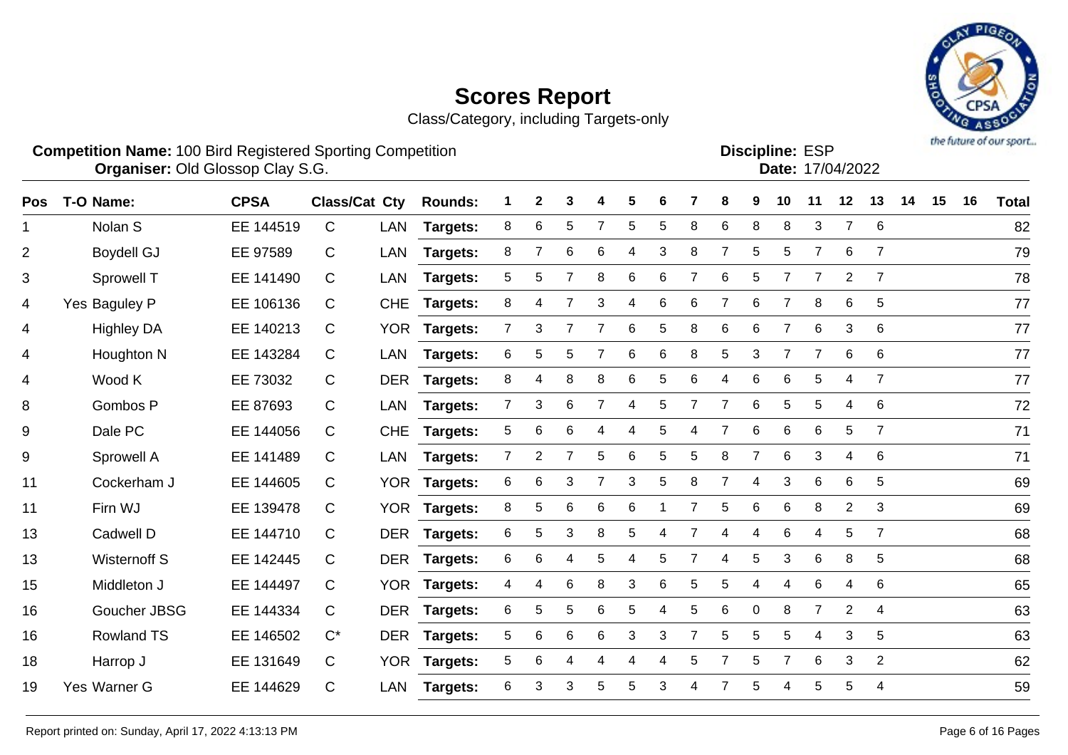Class/Category, including Targets-only



**Competition Name:** 100 Bird Registered Sporting Competition **EXP EXP Competition EXP Organiser:** Old Glossop Clay S.G. 17/04/2022

Discipline: ESP<br>Date: 17/04/2022

| Pos | T-O Name:           | <b>CPSA</b> | Class/Cat Cty |            | <b>Rounds:</b>  |                | $\mathbf{2}$   | 3              | 4              | 5     | 6 |                | 8              | 9                | 10             | 11             | 12             | 13             | 14 | 15 | 16 | <b>Total</b> |
|-----|---------------------|-------------|---------------|------------|-----------------|----------------|----------------|----------------|----------------|-------|---|----------------|----------------|------------------|----------------|----------------|----------------|----------------|----|----|----|--------------|
| 1.  | Nolan S             | EE 144519   | $\mathsf{C}$  | LAN        | <b>Targets:</b> | 8              | $\,6$          | 5              | $\overline{7}$ | 5     | 5 | 8              | $\,6\,$        | 8                | 8              | 3              | $\overline{7}$ | 6              |    |    |    | 82           |
| 2   | <b>Boydell GJ</b>   | EE 97589    | C             | LAN        | <b>Targets:</b> | 8              | $\overline{7}$ | 6              | 6              | 4     | 3 | 8              | $\overline{7}$ | 5                | 5              | $\overline{7}$ | 6              | $\overline{7}$ |    |    |    | 79           |
| 3   | Sprowell T          | EE 141490   | $\mathsf{C}$  | <b>LAN</b> | Targets:        | 5              | 5              |                | 8              | 6     | 6 |                | 6              | 5                |                | 7              | 2              | 7              |    |    |    | 78           |
| 4   | Yes Baguley P       | EE 106136   | C             | <b>CHE</b> | <b>Targets:</b> | 8              | 4              | $\overline{7}$ | 3              | 4     | 6 | 6              | $\overline{7}$ | 6                | $\overline{7}$ | 8              | 6              | 5              |    |    |    | 77           |
| 4   | <b>Highley DA</b>   | EE 140213   | C             | <b>YOR</b> | <b>Targets:</b> | $\overline{7}$ | 3              | 7              | $\overline{7}$ | 6     | 5 | 8              | 6              | 6                | $\overline{7}$ | 6              | 3              | 6              |    |    |    | 77           |
| 4   | Houghton N          | EE 143284   | C             | <b>LAN</b> | Targets:        | 6              | 5              | 5              | $\overline{7}$ | 6     | 6 | 8              | 5              | 3                | $\overline{7}$ | $\overline{7}$ | 6              | 6              |    |    |    | 77           |
| 4   | Wood K              | EE 73032    | $\mathsf{C}$  | <b>DER</b> | Targets:        | 8              | 4              | 8              | 8              | $\,6$ | 5 | 6              | 4              | 6                | 6              | 5              | 4              | $\overline{7}$ |    |    |    | 77           |
| 8   | Gombos P            | EE 87693    | C             | LAN        | <b>Targets:</b> | 7 <sup>1</sup> | 3              | 6              | $\overline{7}$ | 4     | 5 | $\overline{7}$ | $\overline{7}$ | 6                | 5              | 5              | 4              | 6              |    |    |    | 72           |
| 9   | Dale PC             | EE 144056   | $\mathsf{C}$  | <b>CHE</b> | <b>Targets:</b> | 5              | 6              | 6              | 4              | 4     | 5 | 4              | 7              | 6                | 6              | 6              | 5              | $\overline{7}$ |    |    |    | 71           |
| 9   | Sprowell A          | EE 141489   | C             | LAN        | Targets:        | $\mathbf{7}$   | $\overline{2}$ | 7              | 5              | 6     | 5 | 5              | 8              | 7                | 6              | 3              | 4              | 6              |    |    |    | 71           |
| 11  | Cockerham J         | EE 144605   | $\mathsf{C}$  | <b>YOR</b> | <b>Targets:</b> | 6              | 6              | 3              | $\overline{7}$ | 3     | 5 | 8              | $\overline{7}$ | 4                | 3              | 6              | 6              | 5              |    |    |    | 69           |
| 11  | Firn WJ             | EE 139478   | $\mathsf{C}$  | <b>YOR</b> | <b>Targets:</b> | 8              | 5              | 6              | 6              | 6     |   |                | 5              | $6\phantom{1}$   | 6              | 8              | $\overline{2}$ | 3              |    |    |    | 69           |
| 13  | Cadwell D           | EE 144710   | C             | <b>DER</b> | <b>Targets:</b> | 6              | 5              | 3              | 8              | 5     | 4 |                | 4              | 4                | 6              | 4              | 5              | 7              |    |    |    | 68           |
| 13  | <b>Wisternoff S</b> | EE 142445   | C             | <b>DER</b> | Targets:        | 6              | 6              | 4              | 5              | 4     | 5 |                | 4              | 5                | 3              | 6              | 8              | 5              |    |    |    | 68           |
| 15  | Middleton J         | EE 144497   | $\mathsf{C}$  |            | YOR Targets:    | 4              | 4              | 6              | 8              | 3     | 6 | 5              | 5              | 4                | 4              | 6              | 4              | 6              |    |    |    | 65           |
| 16  | Goucher JBSG        | EE 144334   | $\mathsf{C}$  | <b>DER</b> | <b>Targets:</b> | 6              | 5              | 5              | 6              | 5     | 4 | 5              | 6              | $\boldsymbol{0}$ | 8              | $\overline{7}$ | $\overline{2}$ | 4              |    |    |    | 63           |
| 16  | <b>Rowland TS</b>   | EE 146502   | $C^*$         | <b>DER</b> | <b>Targets:</b> | 5              | 6              | 6              | 6              | 3     | 3 | $\overline{7}$ | 5              | 5                | 5              | 4              | 3              | $\overline{5}$ |    |    |    | 63           |
| 18  | Harrop J            | EE 131649   | $\mathsf{C}$  | <b>YOR</b> | <b>Targets:</b> | 5              | 6              | 4              | 4              | 4     | 4 | 5              | 7              | 5                | 7              | 6              | 3              | $\overline{2}$ |    |    |    | 62           |
| 19  | Yes Warner G        | EE 144629   | $\mathsf{C}$  | <b>LAN</b> | <b>Targets:</b> | 6              | 3              | 3              | 5              | 5     | 3 | 4              | 7              | 5                | 4              | 5              | 5              | 4              |    |    |    | 59           |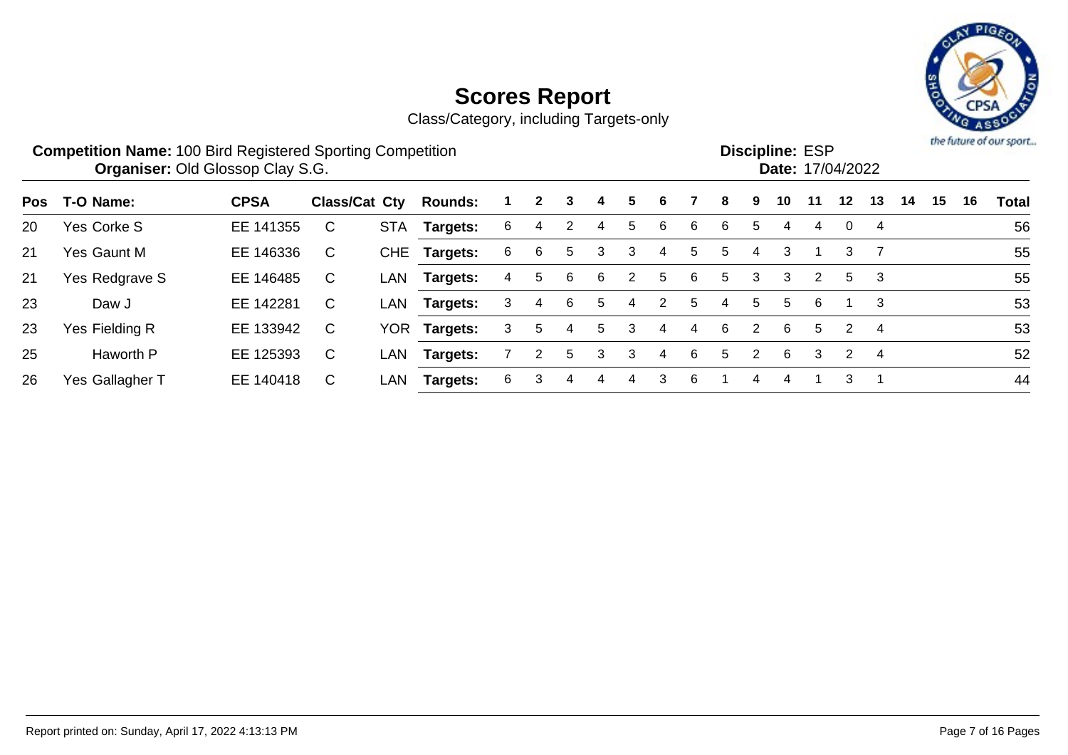

|     | <b>Competition Name: 100 Bird Registered Sporting Competition</b> | <b>Organiser: Old Glossop Clay S.G.</b> |                      |            |                 |    |              |    |    |    |   |   |    |   | <b>Discipline: ESP</b><br>Date: 17/04/2022 |    |                 |                |    |    |    | the future of our sport |
|-----|-------------------------------------------------------------------|-----------------------------------------|----------------------|------------|-----------------|----|--------------|----|----|----|---|---|----|---|--------------------------------------------|----|-----------------|----------------|----|----|----|-------------------------|
| Pos | T-O Name:                                                         | <b>CPSA</b>                             | <b>Class/Cat Cty</b> |            | <b>Rounds:</b>  |    | $\mathbf{2}$ | 3. | 4  | 5. | 6 |   | 8  | 9 | 10                                         | 11 | 12 <sup>°</sup> | 13             | 14 | 15 | 16 | <b>Total</b>            |
| 20  | Yes Corke S                                                       | EE 141355                               | C                    | <b>STA</b> | Targets:        | 6  | 4            |    | 4  | 5  | 6 | 6 | 6  | 5 | 4                                          | 4  | 0               | 4              |    |    |    | 56                      |
| 21  | Yes Gaunt M                                                       | EE 146336                               | C                    |            | CHE Targets:    | 6. | 6            | 5  | 3  | 3  | 4 | 5 | 5  | 4 | 3                                          |    | 3               |                |    |    |    | 55                      |
| 21  | Yes Redgrave S                                                    | EE 146485                               | C                    | LAN        | Targets:        | 4  | 5            | 6  | 6  | 2  | 5 | 6 | 5  | 3 | 3                                          | 2  | 5               | 3              |    |    |    | 55                      |
| 23  | Daw J                                                             | EE 142281                               | C                    | LAN        | Targets:        | 3  | 4            | 6  | 5  | 4  | 2 | 5 | 4  | 5 | 5                                          | 6  |                 | -3             |    |    |    | 53                      |
| 23  | Yes Fielding R                                                    | EE 133942                               | $\mathsf{C}$         | <b>YOR</b> | <b>Targets:</b> | 3  | 5            | 4  | 5. | 3  | 4 | 4 | 6. | 2 | 6                                          | 5  | $\overline{2}$  | $\overline{4}$ |    |    |    | 53                      |
| 25  | Haworth P                                                         | EE 125393                               | C                    | LAN        | <b>Targets:</b> |    | 2            | 5  | 3  | 3  | 4 | 6 | 5. | 2 | 6                                          | 3  | $\overline{2}$  | -4             |    |    |    | 52                      |
| 26  | Yes Gallagher T                                                   | EE 140418                               | C                    | LAN        | <b>Targets:</b> | 6. | 3            | 4  | 4  | 4  | 3 | 6 |    | 4 | 4                                          |    | 3               | -4             |    |    |    | 44                      |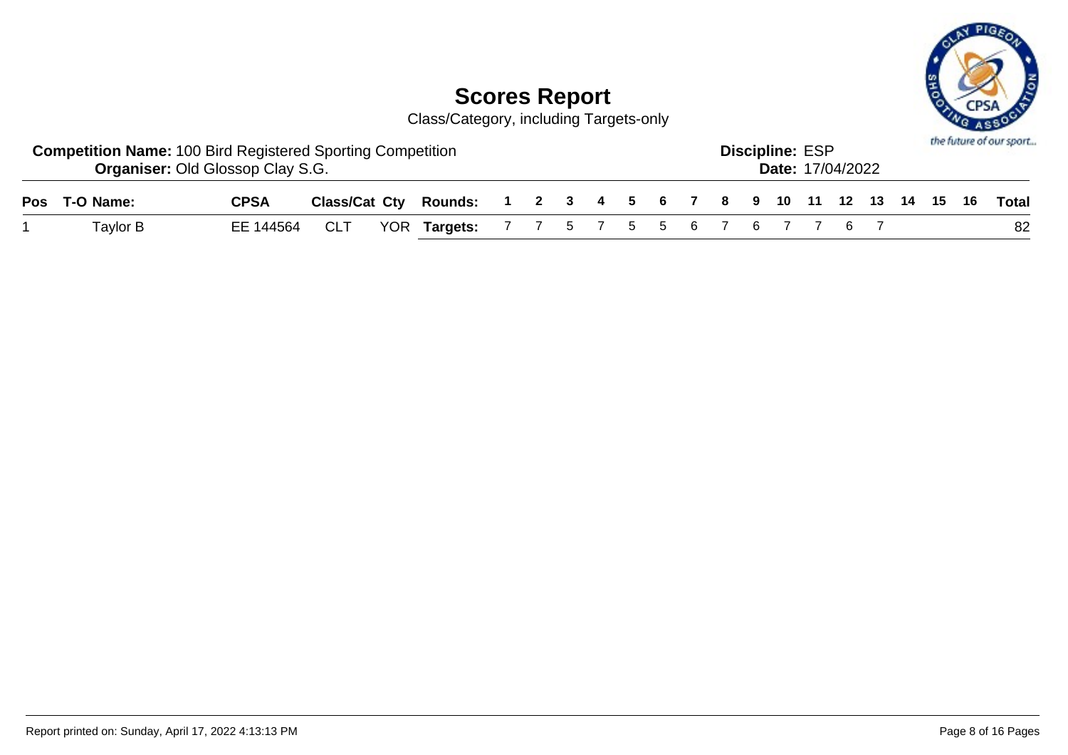

| <b>Competition Name: 100 Bird Registered Sporting Competition</b><br><b>Organiser: Old Glossop Clay S.G.</b><br>Class/Cat Cty Rounds: 1 2 3 4 5 6 7 8 9 10 11 12 13 14 15 16 Total |             |  |  |                                            |  |  |  |  |  |  |  | <b>Discipline: ESP</b> | <b>Date: 17/04/2022</b> |  |  | the future of our sport |
|------------------------------------------------------------------------------------------------------------------------------------------------------------------------------------|-------------|--|--|--------------------------------------------|--|--|--|--|--|--|--|------------------------|-------------------------|--|--|-------------------------|
| Pos T-O Name:                                                                                                                                                                      | <b>CPSA</b> |  |  |                                            |  |  |  |  |  |  |  |                        |                         |  |  |                         |
| Taylor B                                                                                                                                                                           | EE 144564   |  |  | CLT YOR Targets: 7 7 5 7 5 5 6 7 6 7 7 6 7 |  |  |  |  |  |  |  |                        |                         |  |  | 82                      |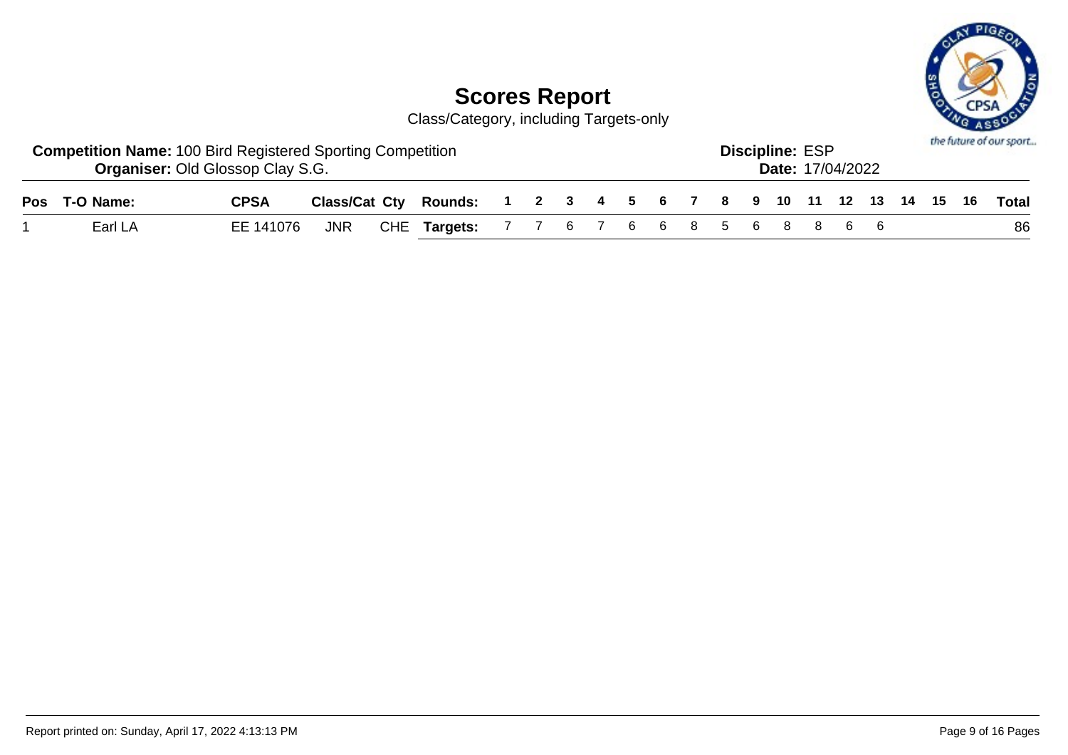

| <b>Competition Name: 100 Bird Registered Sporting Competition</b><br><b>Organiser: Old Glossop Clay S.G.</b> |             |  |                                                                    |  | <b>Discipline: ESP</b> | <b>Date: 17/04/2022</b> |  |  | the future of our sport |  |  |  |    |
|--------------------------------------------------------------------------------------------------------------|-------------|--|--------------------------------------------------------------------|--|------------------------|-------------------------|--|--|-------------------------|--|--|--|----|
| Pos T-O Name:                                                                                                | <b>CPSA</b> |  | Class/Cat Cty Rounds: 1 2 3 4 5 6 7 8 9 10 11 12 13 14 15 16 Total |  |                        |                         |  |  |                         |  |  |  |    |
| Earl LA                                                                                                      | EE 141076   |  | JNR CHE Targets: 7 7 6 7 6 6 8 5 6 8 8 6 6                         |  |                        |                         |  |  |                         |  |  |  | 86 |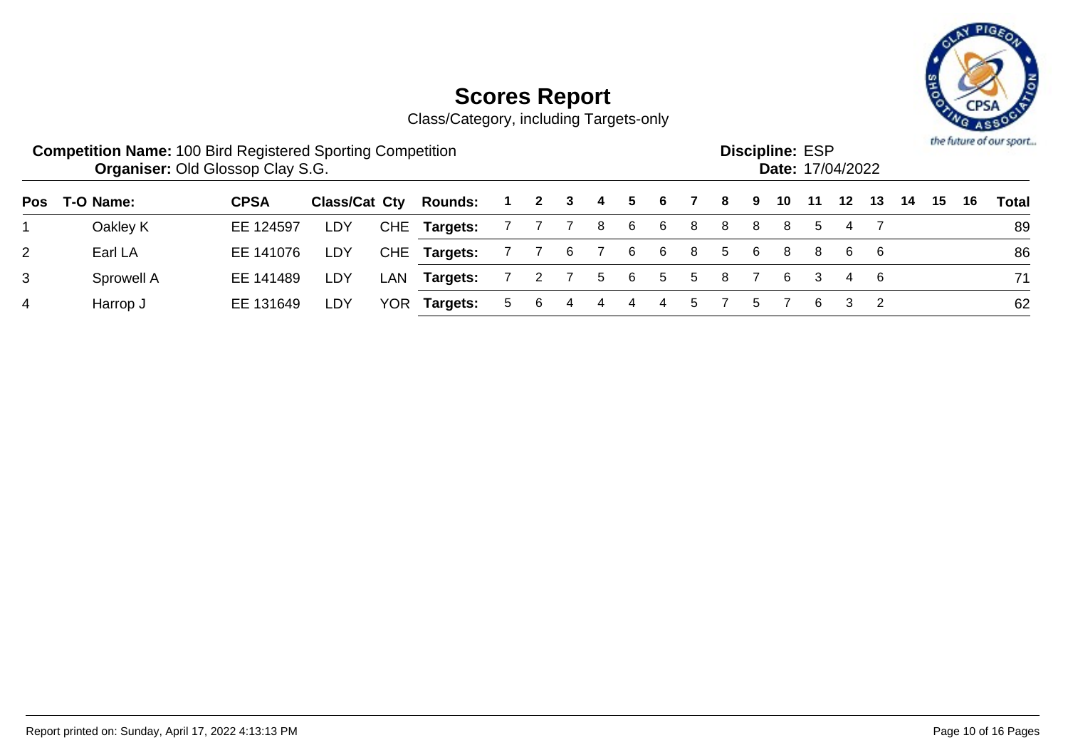

|                |            | <b>Competition Name: 100 Bird Registered Sporting Competition</b><br><b>Organiser: Old Glossop Clay S.G.</b><br>Class/Cat Cty<br>T-O Name:<br><b>CPSA</b><br><b>Rounds:</b><br>2<br>3<br>$\blacksquare$ |     |     |              |    |       |     |     |     |     |                |    |              | <b>Discipline: ESP</b><br>Date: 17/04/2022 |    |    |    |    |    |    | the future of our sport |
|----------------|------------|---------------------------------------------------------------------------------------------------------------------------------------------------------------------------------------------------------|-----|-----|--------------|----|-------|-----|-----|-----|-----|----------------|----|--------------|--------------------------------------------|----|----|----|----|----|----|-------------------------|
| Pos            |            |                                                                                                                                                                                                         |     |     |              |    |       |     | 4   | 5   | - 6 | $\overline{7}$ | -8 | -9           | 10                                         | 11 | 12 | 13 | 14 | 15 | 16 | <b>Total</b>            |
|                | Oakley K   | EE 124597                                                                                                                                                                                               | LDY |     | CHE Targets: |    | 7 7 7 |     | - 8 | 6   | -6  | 8              | 8  | -8           | -8                                         | 5  | 4  |    |    |    |    | 89                      |
| $\overline{2}$ | Earl LA    | EE 141076                                                                                                                                                                                               | LDY |     | CHE Targets: |    | 77    | - 6 | 76  |     | -6  | 8              | 5  | -6           | 8                                          | 8  | 66 |    |    |    |    | 86                      |
| 3              | Sprowell A | EE 141489                                                                                                                                                                                               | LDY | LAN | Targets:     |    |       |     |     | 5 6 | 5   | 5              | -8 |              | -6                                         | -3 |    | 46 |    |    |    | 71                      |
| 4              | Harrop J   | EE 131649                                                                                                                                                                                               | LDY | YOR | Targets:     | 5. | -6    |     |     |     | 4   | 5              |    | $\mathbf{b}$ |                                            | 6  |    |    |    |    |    | 62                      |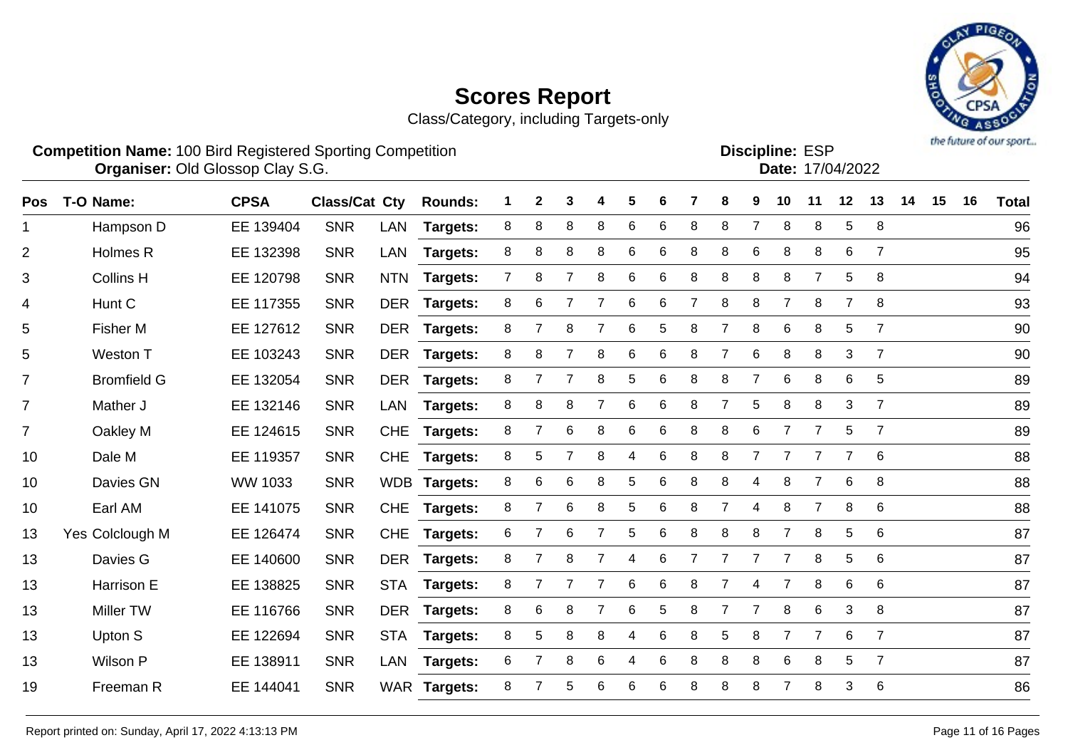

| <b>Competition Name: 100 Bird Registered Sporting Competition</b> | <b>Organiser: Old Glossop Clay S.G.</b> |                       |  |  |  |  |                               | <b>Discipline: ESP</b><br>Date: 17/04/2022 |  |  |
|-------------------------------------------------------------------|-----------------------------------------|-----------------------|--|--|--|--|-------------------------------|--------------------------------------------|--|--|
| Pos T-O Namo:                                                     | CPSA                                    | Class/Cat Cty Rounds: |  |  |  |  | 1 2 3 4 5 6 7 8 9 10 11 12 13 |                                            |  |  |

| Pos            | T-O Name:          | <b>CPSA</b>    | <b>Class/Cat Cty</b> |            | <b>Rounds:</b>  | 1              | $\mathbf{2}$   | 3               | 4              | 5 | 6     |                | 8              | 9              | 10             | 11             | 12             | 13              | 14 | 15 | 16 | Total |
|----------------|--------------------|----------------|----------------------|------------|-----------------|----------------|----------------|-----------------|----------------|---|-------|----------------|----------------|----------------|----------------|----------------|----------------|-----------------|----|----|----|-------|
| 1.             | Hampson D          | EE 139404      | <b>SNR</b>           | <b>LAN</b> | <b>Targets:</b> | 8              | 8              | 8               | 8              | 6 | 6     | 8              | 8              | $\overline{7}$ | 8              | 8              | 5              | 8               |    |    |    | 96    |
| $\overline{2}$ | Holmes R           | EE 132398      | <b>SNR</b>           | <b>LAN</b> | Targets:        | 8              | 8              | 8               | 8              | 6 | 6     | 8              | 8              | $6\phantom{1}$ | 8              | 8              | 6              | $\overline{7}$  |    |    |    | 95    |
| 3              | <b>Collins H</b>   | EE 120798      | <b>SNR</b>           | <b>NTN</b> | Targets:        | $\overline{7}$ | 8              | $\overline{7}$  | 8              | 6 | 6     | 8              | 8              | 8              | 8              | $\overline{7}$ | 5              | 8               |    |    |    | 94    |
| 4              | Hunt C             | EE 117355      | <b>SNR</b>           | <b>DER</b> | <b>Targets:</b> | 8              | 6              | 7               | $\overline{7}$ | 6 | $\,6$ | $\overline{7}$ | 8              | 8              | $\overline{7}$ | 8              | $\overline{7}$ | 8               |    |    |    | 93    |
| 5              | Fisher M           | EE 127612      | <b>SNR</b>           | DER        | <b>Targets:</b> | 8              | $\overline{7}$ | 8               | $\overline{7}$ | 6 | 5     | 8              | $\overline{7}$ | 8              | 6              | 8              | 5              | $\overline{7}$  |    |    |    | 90    |
| 5              | Weston T           | EE 103243      | <b>SNR</b>           | <b>DER</b> | <b>Targets:</b> | 8              | 8              | $\overline{7}$  | 8              | 6 | 6     | 8              | $\overline{7}$ | 6              | 8              | 8              | 3              | $\overline{7}$  |    |    |    | 90    |
| $\overline{7}$ | <b>Bromfield G</b> | EE 132054      | <b>SNR</b>           | <b>DER</b> | <b>Targets:</b> | 8              | $\overline{7}$ | $\overline{7}$  | 8              | 5 | 6     | 8              | 8              | $\overline{7}$ | 6              | 8              | 6              | 5               |    |    |    | 89    |
| $\overline{7}$ | Mather J           | EE 132146      | <b>SNR</b>           | LAN        | <b>Targets:</b> | 8              | 8              | 8               | $\overline{7}$ | 6 | 6     | 8              | $\overline{7}$ | 5              | 8              | 8              | 3              | $\overline{7}$  |    |    |    | 89    |
| $\overline{7}$ | Oakley M           | EE 124615      | <b>SNR</b>           | <b>CHE</b> | Targets:        | 8              |                | $6\phantom{1}6$ | 8              | 6 | 6     | 8              | 8              | 6              | $\overline{7}$ | $\overline{7}$ | 5              | $\overline{7}$  |    |    |    | 89    |
| 10             | Dale M             | EE 119357      | <b>SNR</b>           | <b>CHE</b> | Targets:        | 8              | 5              |                 | 8              | 4 | 6     | 8              | 8              |                |                | 7              |                | 6               |    |    |    | 88    |
| 10             | Davies GN          | <b>WW 1033</b> | <b>SNR</b>           | <b>WDB</b> | Targets:        | 8              | 6              | 6               | 8              | 5 | 6     | 8              | 8              | 4              | 8              | $\overline{7}$ | 6              | 8               |    |    |    | 88    |
| 10             | Earl AM            | EE 141075      | <b>SNR</b>           | <b>CHE</b> | Targets:        | 8              | $\overline{7}$ | 6               | 8              | 5 | 6     | 8              | $\overline{7}$ | 4              | 8              | $\overline{7}$ | 8              | 6               |    |    |    | 88    |
| 13             | Yes Colclough M    | EE 126474      | <b>SNR</b>           | <b>CHE</b> | <b>Targets:</b> | 6              | $\overline{7}$ | 6               | $\overline{7}$ | 5 | 6     | 8              | 8              | 8              | $\overline{7}$ | 8              | 5              | 6               |    |    |    | 87    |
| 13             | Davies G           | EE 140600      | <b>SNR</b>           | <b>DER</b> | <b>Targets:</b> | 8              | 7              | 8               | $\overline{7}$ | 4 | 6     | $\overline{7}$ | $\overline{7}$ | $\overline{7}$ | $\overline{7}$ | 8              | 5              | 6               |    |    |    | 87    |
| 13             | Harrison E         | EE 138825      | <b>SNR</b>           | <b>STA</b> | Targets:        | 8              | $\overline{7}$ | $\overline{7}$  | $\overline{7}$ | 6 | 6     | 8              | $\overline{7}$ | 4              | $\overline{7}$ | 8              | 6              | 6               |    |    |    | 87    |
| 13             | <b>Miller TW</b>   | EE 116766      | <b>SNR</b>           | <b>DER</b> | Targets:        | 8              | 6              | 8               | 7              | 6 | 5     | 8              | 7              | $\overline{7}$ | 8              | 6              | 3              | 8               |    |    |    | 87    |
| 13             | Upton S            | EE 122694      | <b>SNR</b>           | <b>STA</b> | <b>Targets:</b> | 8              | 5              | 8               | 8              | 4 | 6     | 8              | 5              | 8              | 7              | 7              | 6              | 7               |    |    |    | 87    |
| 13             | Wilson P           | EE 138911      | <b>SNR</b>           | LAN        | <b>Targets:</b> | 6              | 7              | 8               | 6              | 4 | 6     | 8              | 8              | 8              | 6              | 8              | 5              | 7               |    |    |    | 87    |
| 19             | Freeman R          | EE 144041      | <b>SNR</b>           |            | WAR Targets:    | 8              |                | 5               | 6              | 6 | 6     | 8              | 8              | 8              |                | 8              | 3              | $6\phantom{1}6$ |    |    |    | 86    |
|                |                    |                |                      |            |                 |                |                |                 |                |   |       |                |                |                |                |                |                |                 |    |    |    |       |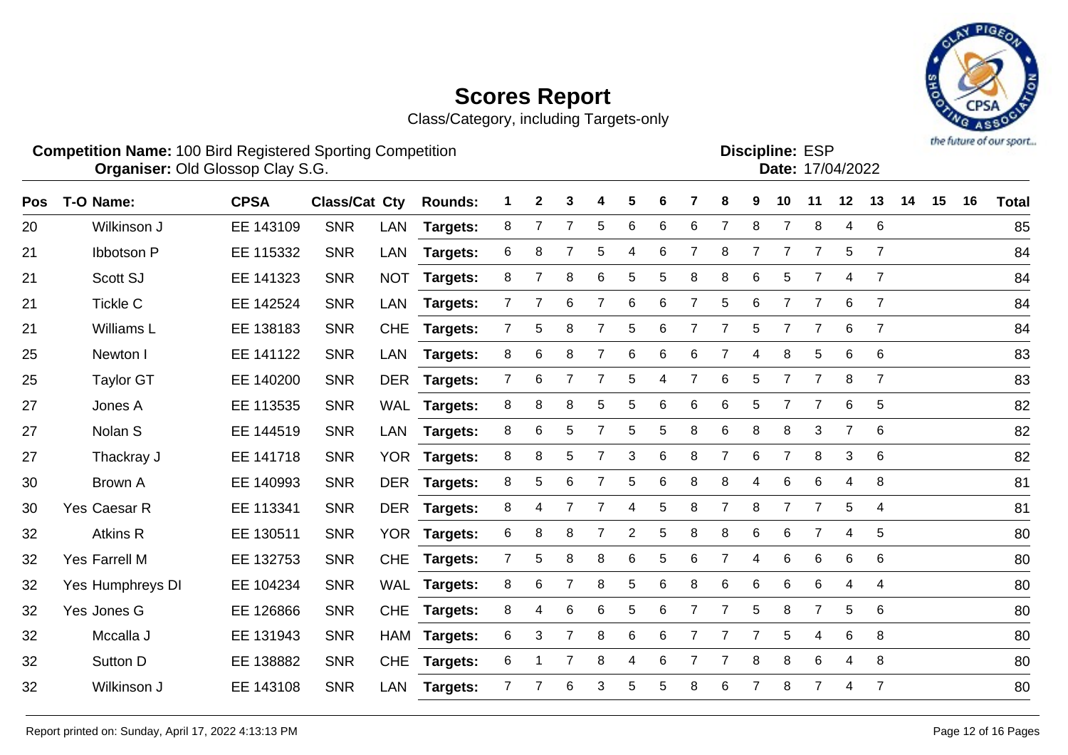

|     | <b>Competition Name: 100 Bird Registered Sporting Competition</b> | <b>Organiser: Old Glossop Clay S.G.</b> |                      |            |                |   |              |                |     |       |    |               |     |           |    | <b>Discipline: ESP</b> | Date: 17/04/2022 |     |    |    |    | <b>INTERNATIONAL PROPERTY AREAS I</b> |
|-----|-------------------------------------------------------------------|-----------------------------------------|----------------------|------------|----------------|---|--------------|----------------|-----|-------|----|---------------|-----|-----------|----|------------------------|------------------|-----|----|----|----|---------------------------------------|
| Pos | T-O Name:                                                         | <b>CPSA</b>                             | <b>Class/Cat Cty</b> |            | <b>Rounds:</b> |   | $\mathbf{2}$ | - 3            |     | 4 5   | 6  | $\mathcal{L}$ | 8   | -9        | 10 | -11                    | 12               | 13  | 14 | 15 | 16 | <b>Total</b>                          |
| 20  | Wilkinson J                                                       | EE 143109                               | <b>SNR</b>           | LAN        | Targets:       | 8 |              |                | - 5 | 6     | 6  | -6            |     |           |    | -8                     |                  |     |    |    |    | 85                                    |
| 21  | Ibbotson P                                                        | EE 115332                               | <b>SNR</b>           | LAN        | Targets:       | 6 | 8            | $\overline{7}$ |     | 5 4 6 |    |               | - 8 |           |    |                        |                  | 5 7 |    |    |    | 84                                    |
| 21  | Scott SJ                                                          | EE 141323                               | <b>SNR</b>           | <b>NOT</b> | Targets:       | 8 |              | -8             | 6   | 5     | -5 | -8            | -8  | $6\qquad$ | 5. |                        |                  |     |    |    |    | 84                                    |
| 21  | Tickle C                                                          | EE 142524                               | <b>SNR</b>           | LAN        | Targets:       |   |              | 6.             |     | b.    |    |               |     |           |    |                        |                  |     |    |    |    | 84                                    |

|    | ט ווועטווויש     |           | ັ          |            | .4.9            |                |                |                |                |                |                 |                |                |                |                 |                |                |                | ◡  |
|----|------------------|-----------|------------|------------|-----------------|----------------|----------------|----------------|----------------|----------------|-----------------|----------------|----------------|----------------|-----------------|----------------|----------------|----------------|----|
| 21 | Ibbotson P       | EE 115332 | <b>SNR</b> | LAN        | <b>Targets:</b> | 6              | 8              |                | 5              | 4              | 6               |                | 8              |                |                 |                | 5              | 7              | 84 |
| 21 | Scott SJ         | EE 141323 | <b>SNR</b> | <b>NOT</b> | <b>Targets:</b> | 8              | $\overline{7}$ | 8              | 6              | 5              | 5               | 8              | 8              | 6              | 5               | $\overline{7}$ | 4              | $\overline{7}$ | 84 |
| 21 | Tickle C         | EE 142524 | <b>SNR</b> | LAN        | <b>Targets:</b> | $\overline{7}$ | $\overline{7}$ | 6              | $\overline{7}$ | 6              | 6               | $\overline{7}$ | 5              | 6              | $\overline{7}$  | $\overline{7}$ | 6              | $\overline{7}$ | 84 |
| 21 | Williams L       | EE 138183 | <b>SNR</b> | <b>CHE</b> | <b>Targets:</b> | $\overline{7}$ | 5              | 8              | $\overline{7}$ | 5              | 6               | $\overline{7}$ | $\overline{7}$ | 5              | $\overline{7}$  | $\overline{7}$ | 6              | $\overline{7}$ | 84 |
| 25 | Newton I         | EE 141122 | <b>SNR</b> |            | LAN Targets:    | 8              | 6              | 8              | $\overline{7}$ | 6              | 6               | 6              | $\overline{7}$ | 4              | 8               | 5              | 6              | 6              | 83 |
| 25 | <b>Taylor GT</b> | EE 140200 | <b>SNR</b> |            | DER Targets:    | $\overline{7}$ | 6              | $\overline{7}$ | $\overline{7}$ | 5              | 4               | $\overline{7}$ | 6              | 5              |                 | $\overline{7}$ | 8              | $\overline{7}$ | 83 |
| 27 | Jones A          | EE 113535 | <b>SNR</b> |            | WAL Targets:    | 8              | 8              | 8              | 5              | 5              | 6               | 6              | 6              | 5              | $\overline{7}$  | $\overline{7}$ | 6              | $\overline{5}$ | 82 |
| 27 | Nolan S          | EE 144519 | <b>SNR</b> | LAN        | <b>Targets:</b> | 8              | 6              | 5              | $\overline{7}$ | 5              | 5               | 8              | 6              | 8              | 8               | 3              | $\overline{7}$ | 6              | 82 |
| 27 | Thackray J       | EE 141718 | <b>SNR</b> |            | YOR Targets:    | 8              | 8              | 5              | $\overline{7}$ | 3              | 6               | 8              | $\overline{7}$ | 6              | $\overline{7}$  | 8              | 3              | 6              | 82 |
| 30 | Brown A          | EE 140993 | <b>SNR</b> |            | DER Targets:    | 8              | 5              | 6              | $\overline{7}$ | 5              | 6               | 8              | 8              | 4              | 6               | 6              | 4              | 8              | 81 |
| 30 | Yes Caesar R     | EE 113341 | <b>SNR</b> |            | DER Targets:    | 8              | 4              | $\overline{7}$ | $\overline{7}$ | 4              | 5               | 8              | $\overline{7}$ | 8              | $\overline{7}$  | $\overline{7}$ | 5              | $\overline{4}$ | 81 |
| 32 | Atkins R         | EE 130511 | <b>SNR</b> |            | YOR Targets:    | 6              | 8              | 8              | $\overline{7}$ | $\overline{2}$ | 5               | 8              | 8              | 6              | 6               | $\overline{7}$ | 4              | 5              | 80 |
| 32 | Yes Farrell M    | EE 132753 | <b>SNR</b> | <b>CHE</b> | <b>Targets:</b> | $\overline{7}$ | 5              | 8              | 8              | 6              | 5               | 6              | $\overline{7}$ | 4              | 6               | 6              | 6              | 6              | 80 |
| 32 | Yes Humphreys DI | EE 104234 | <b>SNR</b> |            | WAL Targets:    | 8              | 6              | $\overline{7}$ | 8              | 5              | 6               | 8              | 6              | 6              | 6               | 6              | 4              | $\overline{4}$ | 80 |
| 32 | Yes Jones G      | EE 126866 | <b>SNR</b> |            | CHE Targets:    | 8              | 4              | 6              | 6              | 5              | $6\phantom{1}6$ | $\overline{7}$ | $\overline{7}$ | 5              | 8               | $\overline{7}$ | 5              | 6              | 80 |
| 32 | Mccalla J        | EE 131943 | <b>SNR</b> |            | HAM Targets:    | 6              | 3              | $\overline{7}$ | 8              | 6              | 6               | 7              | $\overline{7}$ | $\overline{7}$ | $5\phantom{.0}$ | 4              | 6              | 8              | 80 |
| 32 | Sutton D         | EE 138882 | <b>SNR</b> |            | CHE Targets:    | 6              |                | $\overline{7}$ | 8              | 4              | 6               | $\overline{7}$ | $\overline{7}$ | 8              | 8               | 6              | 4              | 8              | 80 |
| 32 | Wilkinson J      | EE 143108 | <b>SNR</b> | LAN        | <b>Targets:</b> | $\overline{7}$ | $\overline{7}$ | $\,6\,$        | 3              | 5              | 5               | 8              | 6              | $\overline{7}$ | 8               | $\overline{7}$ | 4              | $\overline{7}$ | 80 |
|    |                  |           |            |            |                 |                |                |                |                |                |                 |                |                |                |                 |                |                |                |    |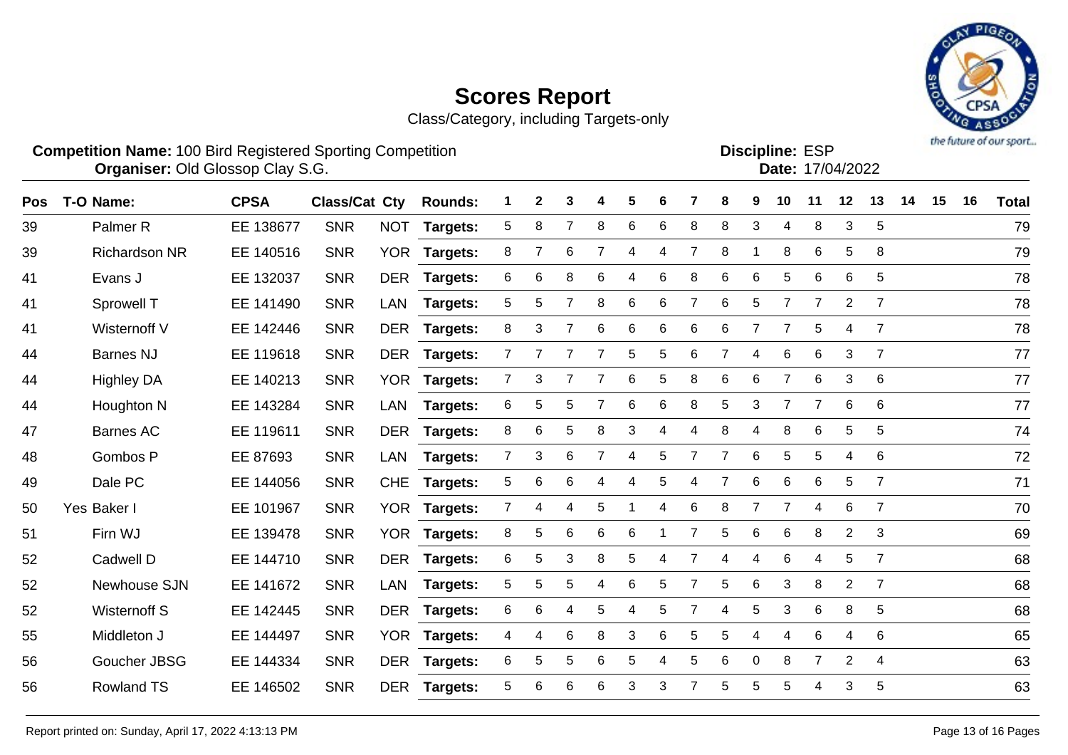Class/Category, including Targets-only



|            | <b>Competition Name: 100 Bird Registered Sporting Competition</b><br><b>Organiser: Old Glossop Clay S.G.</b> |             |                      |            |                |   |              |   |   |    |   |                |   |    |    | <b>Discipline: ESP</b><br>Date: 17/04/2022 |         |                |    |    |    | the company of one showed |
|------------|--------------------------------------------------------------------------------------------------------------|-------------|----------------------|------------|----------------|---|--------------|---|---|----|---|----------------|---|----|----|--------------------------------------------|---------|----------------|----|----|----|---------------------------|
| <b>Pos</b> | T-O Name:                                                                                                    | <b>CPSA</b> | <b>Class/Cat Cty</b> |            | <b>Rounds:</b> |   | $\mathbf{2}$ | 3 | 4 | 5. | 6 |                | 8 | 9  | 10 | 11                                         | $12 \,$ | 13             | 14 | 15 | 16 | <b>Total</b>              |
| 39         | Palmer <sub>R</sub>                                                                                          | EE 138677   | <b>SNR</b>           | <b>NOT</b> | Targets:       | 5 | 8            |   | 8 | 6  | 6 | 8              | 8 | 3  | 4  | 8                                          | 3       | 5              |    |    |    | 79                        |
| 39         | <b>Richardson NR</b>                                                                                         | EE 140516   | <b>SNR</b>           | <b>YOR</b> | Targets:       | 8 |              | 6 | 7 | 4  | 4 |                | 8 |    | 8  | 6                                          | 5       | -8             |    |    |    | 79                        |
| 41         | Evans J                                                                                                      | EE 132037   | <b>SNR</b>           | <b>DER</b> | Targets:       | 6 | 6            | 8 | 6 | 4  | 6 | 8              | 6 | 6  | 5  | 6                                          | 6       | 5              |    |    |    | 78                        |
| 41         | Sprowell T                                                                                                   | EE 141490   | <b>SNR</b>           | LAN        | Targets:       | 5 | 5            |   | 8 | 6  | 6 |                | 6 | 5. |    |                                            | 2       | $\overline{7}$ |    |    |    | 78                        |
| 41         | Wisternoff V                                                                                                 | EE 142446   | <b>SNR</b>           | DER        | Targets:       | 8 | 3.           |   | 6 | 6  | 6 | 6              | 6 |    |    | 5                                          |         |                |    |    |    | 78                        |
| 44         | Barnes NJ                                                                                                    | EE 119618   | <b>SNR</b>           | <b>DER</b> | Targets:       |   |              |   |   | 5. | 5 | 6              |   | 4  | 6  | 6                                          | 3       |                |    |    |    | 77                        |
| 44         | <b>Highley DA</b>                                                                                            | EE 140213   | <b>SNR</b>           | <b>YOR</b> | Targets:       |   | 3            |   |   | 6  | 5 | 8              | 6 | 6  |    | 6                                          | 3       | - 6            |    |    |    | 77                        |
| 44         | Houghton N                                                                                                   | EE 143284   | <b>SNR</b>           | LAN        | Targets:       | 6 | 5            | 5 |   | 6  | 6 | 8              | 5 | 3  |    |                                            | 6       | - 6            |    |    |    | 77                        |
| 47         | Barnes AC                                                                                                    | EE 119611   | <b>SNR</b>           | <b>DER</b> | Targets:       | 8 | 6            | 5 | 8 | 3  | 4 | $\overline{4}$ | 8 | 4  | 8  | 6                                          | 5       | 5              |    |    |    | 74                        |
|            |                                                                                                              |             |                      |            |                |   |              |   |   |    |   |                |   |    |    |                                            |         |                |    |    |    |                           |

Gombos P EE 87693 SNR LAN **Targets:** 7 3 6 7 4 5 7 7 6 5 5 4 6 72

Dale PC EE 144056 SNR CHE **Targets:** 5 6 6 4 4 5 4 7 6 6 6 5 7 71

Yes Baker I EE 101967 SNR YOR **Targets:** 7 4 4 5 1 4 6 8 7 7 4 6 7 70

Firn WJ EE 139478 SNR YOR **Targets:** 8 5 6 6 6 1 7 5 6 6 8 2 3 69

Cadwell D EE 144710 SNR DER **Targets:** 6 5 3 8 5 4 7 4 4 6 4 5 7 68

Newhouse SJN EE 141672 SNR LAN **Targets:** 5 5 5 4 6 5 7 5 6 3 8 2 7 68

Wisternoff S EE 142445 SNR DER **Targets:** 6 6 4 5 4 5 7 4 5 3 6 8 5 68

Middleton J EE 144497 SNR YOR **Targets:** 4 4 6 8 3 6 5 5 4 4 6 4 6 65

 Goucher JBSG EE 144334 SNR DER **Targets:** 6 5 5 6 5 4 5 6 0 8 7 2 4 63 Rowland TS EE 146502 SNR DER **Targets:** 5 6 6 6 3 3 7 5 5 5 4 3 5 63

Report printed on: Sunday, April 17, 2022 4:13:13 PM Pages 13 of 16 Pages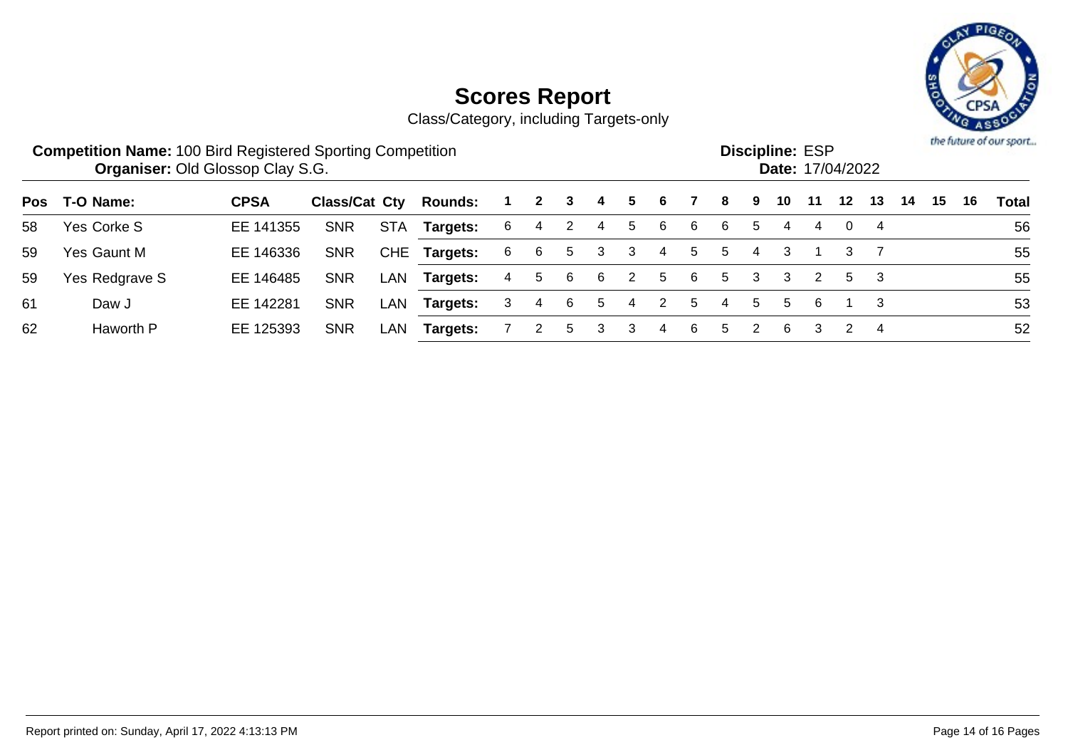

|     | <b>Competition Name: 100 Bird Registered Sporting Competition</b> | <b>Organiser: Old Glossop Clay S.G.</b> |               |     |                |    |              |   |   |   |   |    |            |   | <b>Discipline: ESP</b> |    | Date: 17/04/2022 |    |    |    |    | the future of our sport |
|-----|-------------------------------------------------------------------|-----------------------------------------|---------------|-----|----------------|----|--------------|---|---|---|---|----|------------|---|------------------------|----|------------------|----|----|----|----|-------------------------|
| Pos | T-O Name:                                                         | <b>CPSA</b>                             | Class/Cat Cty |     | <b>Rounds:</b> |    | $\mathbf{2}$ | 3 | 4 | 5 | 6 |    | 8          | 9 | 10                     | 11 | 12               | 13 | 14 | 15 | 16 | Total                   |
| 58  | Yes Corke S                                                       | EE 141355                               | <b>SNR</b>    | STA | Targets:       | -6 | 4            | 2 | 4 | 5 | 6 | 6  | 6          | 5 | 4                      | 4  |                  |    |    |    |    | 56                      |
| 59  | Yes Gaunt M                                                       | EE 146336                               | <b>SNR</b>    |     | CHE Targets:   | 6  | 6            | 5 | 3 | 3 | 4 | 5  | 5          | 4 | 3                      |    | 3                |    |    |    |    | 55                      |
| 59  | Yes Redgrave S                                                    | EE 146485                               | <b>SNR</b>    | LAN | Targets:       | 4  | 5            | 6 | 6 | 2 | 5 | 6  | 5          | 3 | 3                      | 2  | 5                | -3 |    |    |    | 55                      |
| 61  | Daw J                                                             | EE 142281                               | <b>SNR</b>    | LAN | Targets:       | 3  | 4            | 6 | 5 | 4 |   | 5  | 4          | 5 | 5                      | 6  |                  |    |    |    |    | 53                      |
| 62  | Haworth P                                                         | EE 125393                               | <b>SNR</b>    | LAN | Targets:       |    | 2            | 5 | 3 | 3 | 4 | -6 | $^{\rm b}$ | 2 | 6                      | 3  |                  | -4 |    |    |    | 52                      |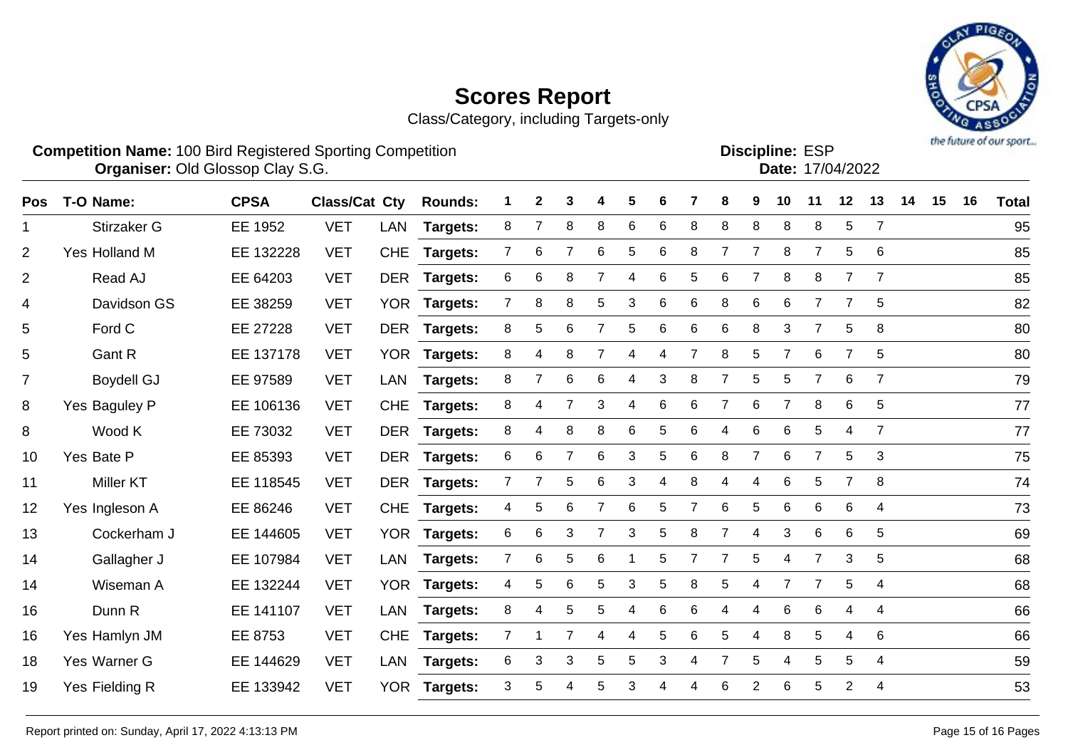

| <b>Competition Name: 100 Bird Registered Sporting Competition</b><br><b>Organiser: Old Glossop Clay S.G.</b> |             |                              |  |                                        |  |  |  |  |  |  | <b>Discipline: ESP</b> | <b>Date: 17/04/2022</b> |  |  | the future of our sport |
|--------------------------------------------------------------------------------------------------------------|-------------|------------------------------|--|----------------------------------------|--|--|--|--|--|--|------------------------|-------------------------|--|--|-------------------------|
| Pos T-O Name:                                                                                                | <b>CPSA</b> | <b>Class/Cat Cty Rounds:</b> |  | 1 2 3 4 5 6 7 8 9 10 11 12 13 14 15 16 |  |  |  |  |  |  |                        |                         |  |  | <b>Total</b>            |

| $\mathbf{1}$   | Stirzaker G       | EE 1952   | <b>VET</b> | LAN        | <b>Targets:</b> | 8              | 7              | 8              | 8              | 6 | 6 | 8  | 8              | 8              | 8              | 8              | 5              | $\overline{7}$  | 95 |
|----------------|-------------------|-----------|------------|------------|-----------------|----------------|----------------|----------------|----------------|---|---|----|----------------|----------------|----------------|----------------|----------------|-----------------|----|
| 2              | Yes Holland M     | EE 132228 | <b>VET</b> | <b>CHE</b> | <b>Targets:</b> | 7              | 6              | 7              | 6              | 5 | 6 | 8  | 7              | 7              | 8              | 7              | 5              | 6               | 85 |
| $\overline{2}$ | Read AJ           | EE 64203  | <b>VET</b> | <b>DER</b> | Targets:        | 6              | 6              | 8              |                | 4 | 6 | 5. | 6              |                | 8              | 8              | $\overline{7}$ | $\overline{7}$  | 85 |
| 4              | Davidson GS       | EE 38259  | <b>VET</b> | <b>YOR</b> | Targets:        | 7              | 8              | 8              | 5              | 3 | 6 | 6  | 8              | 6              | 6              | $\overline{7}$ | 7              | 5               | 82 |
| 5              | Ford C            | EE 27228  | <b>VET</b> |            | DER Targets:    | 8              | 5              | 6              | $\overline{7}$ | 5 | 6 | 6  | 6              | 8              | 3              | $\overline{7}$ | 5              | 8               | 80 |
| 5              | Gant R            | EE 137178 | <b>VET</b> |            | YOR Targets:    | 8              | 4              | 8              | $\overline{7}$ | 4 | 4 |    | 8              | 5              | $\overline{7}$ | 6              | $\overline{7}$ | $5\phantom{.0}$ | 80 |
| $\overline{7}$ | <b>Boydell GJ</b> | EE 97589  | <b>VET</b> | LAN        | <b>Targets:</b> | 8              | $\overline{7}$ | $\,6$          | 6              | 4 | 3 | 8  | $\overline{7}$ | $\sqrt{5}$     | $\sqrt{5}$     | $\overline{7}$ | $6\phantom{1}$ | $\overline{7}$  | 79 |
| 8              | Yes Baguley P     | EE 106136 | <b>VET</b> | <b>CHE</b> | <b>Targets:</b> | 8              | 4              | 7              | 3              | 4 | 6 | 6  | $\overline{7}$ | 6              | 7              | 8              | $6\phantom{1}$ | $5\phantom{.0}$ | 77 |
| 8              | Wood K            | EE 73032  | <b>VET</b> |            | DER Targets:    | 8              | 4              | 8              | 8              | 6 | 5 | 6  | 4              | 6              | 6              | 5              | 4              | $\overline{7}$  | 77 |
| 10             | Yes Bate P        | EE 85393  | <b>VET</b> |            | DER Targets:    | 6              | 6              | $\overline{7}$ | 6              | 3 | 5 | 6  | 8              | $\overline{7}$ | 6              | $\overline{7}$ | 5              | 3               | 75 |
| 11             | <b>Miller KT</b>  | EE 118545 | <b>VET</b> | DER        | <b>Targets:</b> | 7              | $\overline{7}$ | 5              | 6              | 3 | 4 | 8  | 4              | 4              | 6              | 5              | $\overline{7}$ | 8               | 74 |
| 12             | Yes Ingleson A    | EE 86246  | <b>VET</b> | <b>CHE</b> | Targets:        | 4              | 5              | 6              | $\overline{7}$ | 6 | 5 |    | 6              | 5              | 6              | 6              | 6              | 4               | 73 |
| 13             | Cockerham J       | EE 144605 | <b>VET</b> |            | YOR Targets:    | 6              | 6              | 3              | $\overline{7}$ | 3 | 5 | 8  | $\overline{7}$ | 4              | 3              | 6              | 6              | 5               | 69 |
| 14             | Gallagher J       | EE 107984 | <b>VET</b> | LAN        | <b>Targets:</b> | $\overline{7}$ | 6              | 5              | 6              |   | 5 |    | $\overline{7}$ | 5              | 4              | $\overline{7}$ | 3              | 5               | 68 |
| 14             | Wiseman A         | EE 132244 | <b>VET</b> |            | YOR Targets:    | 4              | 5              | 6              | 5              | 3 | 5 | 8  | 5              | 4              | $\overline{7}$ | $\overline{7}$ | 5              | $\overline{4}$  | 68 |
| 16             | Dunn R            | EE 141107 | <b>VET</b> | LAN        | <b>Targets:</b> | 8              | 4              | 5              | 5              | 4 | 6 | 6  | 4              | 4              | 6              | 6              | 4              | 4               | 66 |
| 16             | Yes Hamlyn JM     | EE 8753   | <b>VET</b> | <b>CHE</b> | Targets:        | 7              |                | 7              | 4              | 4 | 5 | 6  | 5              | Δ              | 8              | 5              | 4              | 6               | 66 |
| 18             | Yes Warner G      | EE 144629 | <b>VET</b> | LAN        | <b>Targets:</b> | 6              | 3              | 3              | 5              | 5 | 3 |    | 7              | 5              | 4              | 5              | 5              | $\overline{4}$  | 59 |
| 19             | Yes Fielding R    | EE 133942 | <b>VET</b> |            | YOR Targets:    | 3              | 5              | 4              | 5              | 3 | 4 |    | 6              | $\overline{2}$ | 6              | 5              | 2              | $\overline{4}$  | 53 |
|                |                   |           |            |            |                 |                |                |                |                |   |   |    |                |                |                |                |                |                 |    |